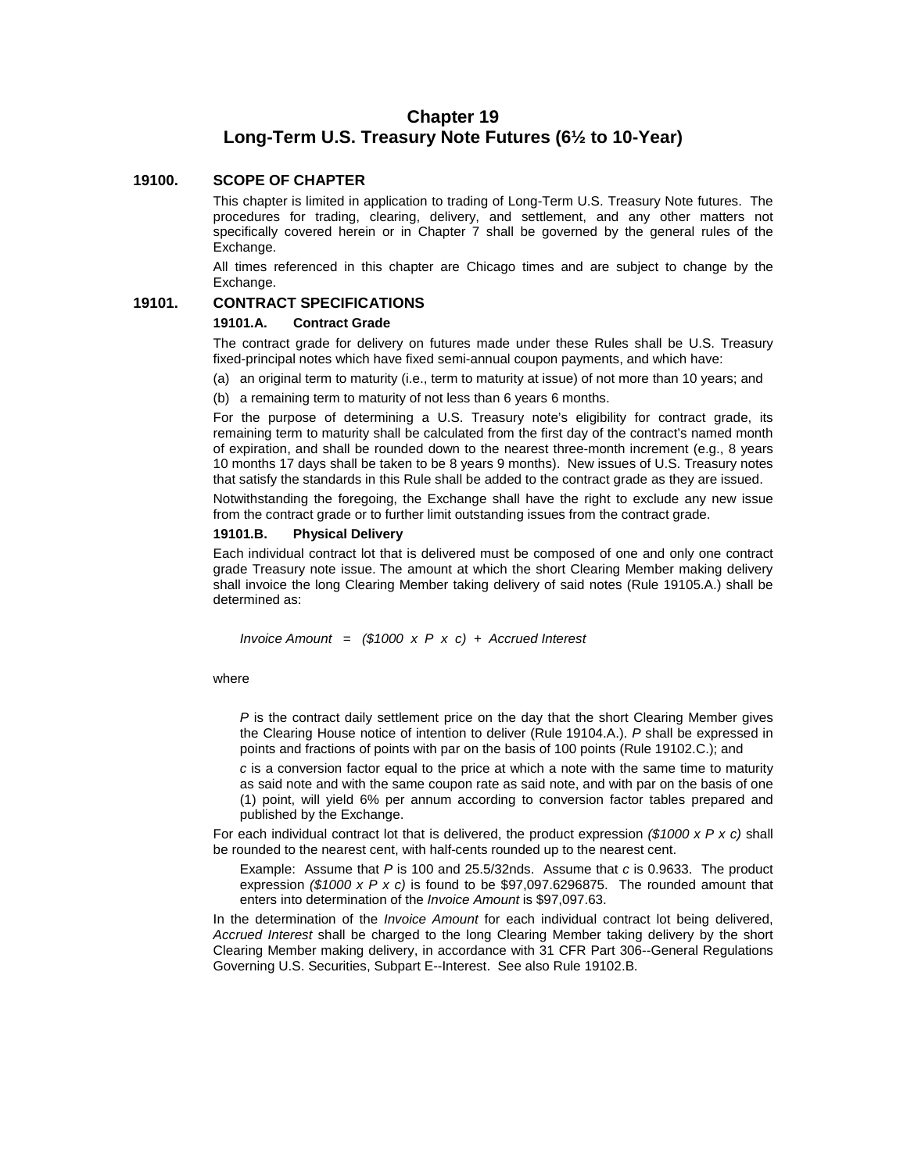# **Chapter 19 Long-Term U.S. Treasury Note Futures (6½ to 10-Year)**

### **19100. SCOPE OF CHAPTER**

This chapter is limited in application to trading of Long-Term U.S. Treasury Note futures. The procedures for trading, clearing, delivery, and settlement, and any other matters not specifically covered herein or in Chapter 7 shall be governed by the general rules of the Exchange.

All times referenced in this chapter are Chicago times and are subject to change by the Exchange.

## **19101. CONTRACT SPECIFICATIONS**

#### **19101.A. Contract Grade**

The contract grade for delivery on futures made under these Rules shall be U.S. Treasury fixed-principal notes which have fixed semi-annual coupon payments, and which have:

(a) an original term to maturity (i.e., term to maturity at issue) of not more than 10 years; and

(b) a remaining term to maturity of not less than 6 years 6 months.

For the purpose of determining a U.S. Treasury note's eligibility for contract grade, its remaining term to maturity shall be calculated from the first day of the contract's named month of expiration, and shall be rounded down to the nearest three-month increment (e.g., 8 years 10 months 17 days shall be taken to be 8 years 9 months). New issues of U.S. Treasury notes that satisfy the standards in this Rule shall be added to the contract grade as they are issued.

Notwithstanding the foregoing, the Exchange shall have the right to exclude any new issue from the contract grade or to further limit outstanding issues from the contract grade.

#### **19101.B. Physical Delivery**

Each individual contract lot that is delivered must be composed of one and only one contract grade Treasury note issue. The amount at which the short Clearing Member making delivery shall invoice the long Clearing Member taking delivery of said notes (Rule 19105.A.) shall be determined as:

*Invoice Amount = (\$1000 x P x c) + Accrued Interest* 

#### where

*P* is the contract daily settlement price on the day that the short Clearing Member gives the Clearing House notice of intention to deliver (Rule 19104.A.). *P* shall be expressed in points and fractions of points with par on the basis of 100 points (Rule 19102.C.); and

*c* is a conversion factor equal to the price at which a note with the same time to maturity as said note and with the same coupon rate as said note, and with par on the basis of one (1) point, will yield 6% per annum according to conversion factor tables prepared and published by the Exchange.

For each individual contract lot that is delivered, the product expression *(\$1000 x P x c)* shall be rounded to the nearest cent, with half-cents rounded up to the nearest cent.

Example: Assume that *P* is 100 and 25.5/32nds. Assume that *c* is 0.9633. The product expression *(\$1000 x P x c)* is found to be \$97,097.6296875. The rounded amount that enters into determination of the *Invoice Amount* is \$97,097.63.

In the determination of the *Invoice Amount* for each individual contract lot being delivered, *Accrued Interest* shall be charged to the long Clearing Member taking delivery by the short Clearing Member making delivery, in accordance with 31 CFR Part 306--General Regulations Governing U.S. Securities, Subpart E--Interest. See also Rule 19102.B.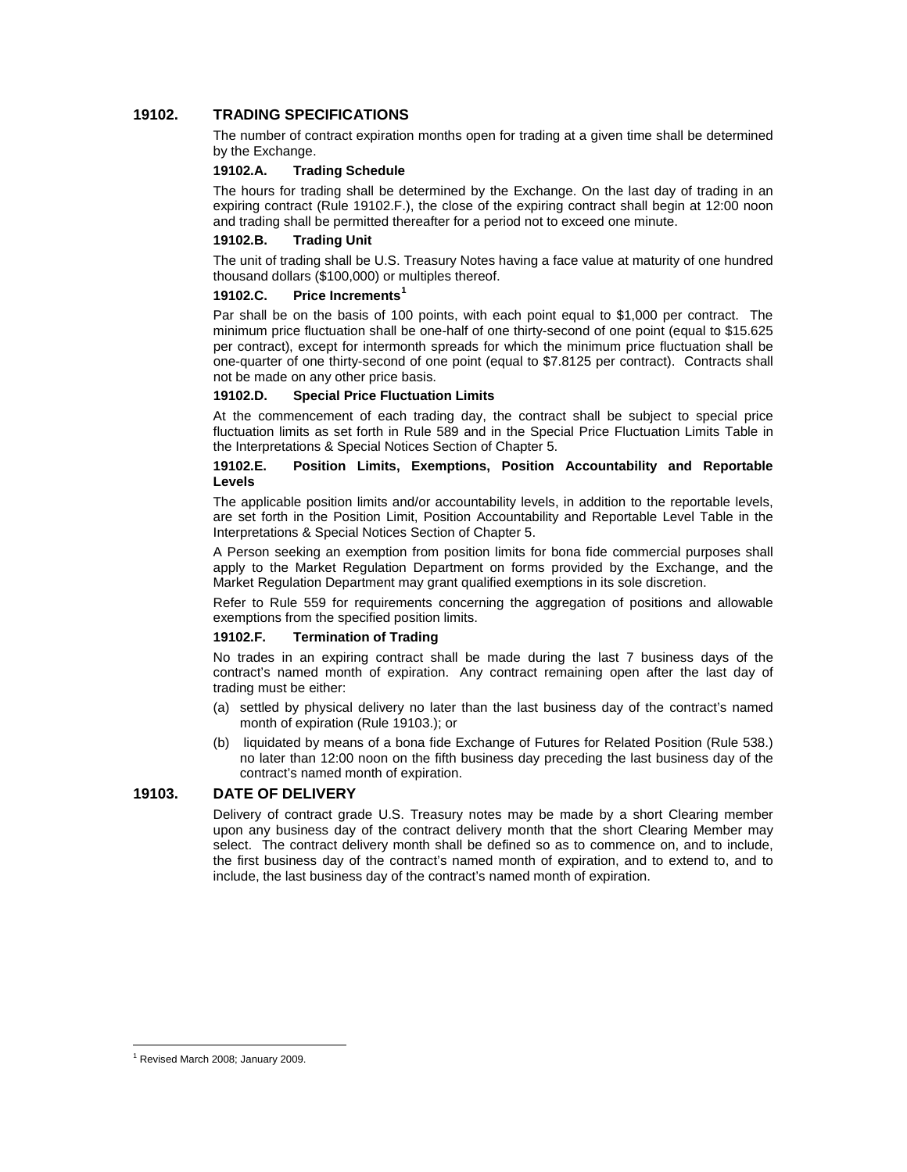## **19102. TRADING SPECIFICATIONS**

The number of contract expiration months open for trading at a given time shall be determined by the Exchange.

### **19102.A. Trading Schedule**

The hours for trading shall be determined by the Exchange. On the last day of trading in an expiring contract (Rule 19102.F.), the close of the expiring contract shall begin at 12:00 noon and trading shall be permitted thereafter for a period not to exceed one minute.

#### **19102.B. Trading Unit**

The unit of trading shall be U.S. Treasury Notes having a face value at maturity of one hundred thousand dollars (\$100,000) or multiples thereof.

### **19102.C. Price Increments[1](#page-1-0)**

Par shall be on the basis of 100 points, with each point equal to \$1,000 per contract. The minimum price fluctuation shall be one-half of one thirty-second of one point (equal to \$15.625 per contract), except for intermonth spreads for which the minimum price fluctuation shall be one-quarter of one thirty-second of one point (equal to \$7.8125 per contract). Contracts shall not be made on any other price basis.

### **19102.D. Special Price Fluctuation Limits**

At the commencement of each trading day, the contract shall be subject to special price fluctuation limits as set forth in Rule 589 and in the Special Price Fluctuation Limits Table in the Interpretations & Special Notices Section of Chapter 5.

#### **19102.E. Position Limits, Exemptions, Position Accountability and Reportable Levels**

The applicable position limits and/or accountability levels, in addition to the reportable levels, are set forth in the Position Limit, Position Accountability and Reportable Level Table in the Interpretations & Special Notices Section of Chapter 5.

A Person seeking an exemption from position limits for bona fide commercial purposes shall apply to the Market Regulation Department on forms provided by the Exchange, and the Market Regulation Department may grant qualified exemptions in its sole discretion.

Refer to Rule 559 for requirements concerning the aggregation of positions and allowable exemptions from the specified position limits.

### **19102.F. Termination of Trading**

No trades in an expiring contract shall be made during the last 7 business days of the contract's named month of expiration. Any contract remaining open after the last day of trading must be either:

- (a) settled by physical delivery no later than the last business day of the contract's named month of expiration (Rule 19103.); or
- (b) liquidated by means of a bona fide Exchange of Futures for Related Position (Rule 538.) no later than 12:00 noon on the fifth business day preceding the last business day of the contract's named month of expiration.

## **19103. DATE OF DELIVERY**

Delivery of contract grade U.S. Treasury notes may be made by a short Clearing member upon any business day of the contract delivery month that the short Clearing Member may select. The contract delivery month shall be defined so as to commence on, and to include, the first business day of the contract's named month of expiration, and to extend to, and to include, the last business day of the contract's named month of expiration.

<span id="page-1-0"></span><sup>1</sup> Revised March 2008; January 2009.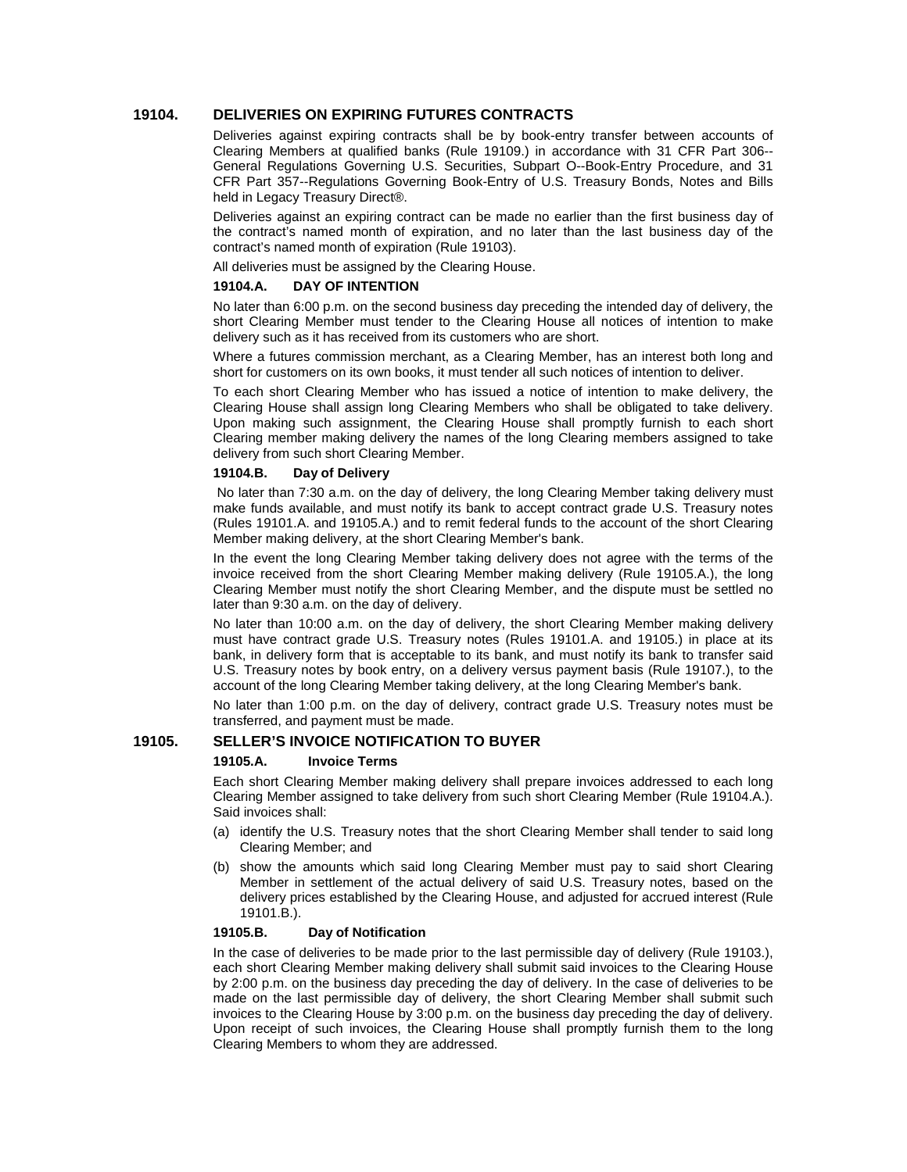### **19104. DELIVERIES ON EXPIRING FUTURES CONTRACTS**

Deliveries against expiring contracts shall be by book-entry transfer between accounts of Clearing Members at qualified banks (Rule 19109.) in accordance with 31 CFR Part 306-- General Regulations Governing U.S. Securities, Subpart O--Book-Entry Procedure, and 31 CFR Part 357--Regulations Governing Book-Entry of U.S. Treasury Bonds, Notes and Bills held in Legacy Treasury Direct®.

Deliveries against an expiring contract can be made no earlier than the first business day of the contract's named month of expiration, and no later than the last business day of the contract's named month of expiration (Rule 19103).

All deliveries must be assigned by the Clearing House.

#### **19104.A. DAY OF INTENTION**

No later than 6:00 p.m. on the second business day preceding the intended day of delivery, the short Clearing Member must tender to the Clearing House all notices of intention to make delivery such as it has received from its customers who are short.

Where a futures commission merchant, as a Clearing Member, has an interest both long and short for customers on its own books, it must tender all such notices of intention to deliver.

To each short Clearing Member who has issued a notice of intention to make delivery, the Clearing House shall assign long Clearing Members who shall be obligated to take delivery. Upon making such assignment, the Clearing House shall promptly furnish to each short Clearing member making delivery the names of the long Clearing members assigned to take delivery from such short Clearing Member.

#### **19104.B. Day of Delivery**

No later than 7:30 a.m. on the day of delivery, the long Clearing Member taking delivery must make funds available, and must notify its bank to accept contract grade U.S. Treasury notes (Rules 19101.A. and 19105.A.) and to remit federal funds to the account of the short Clearing Member making delivery, at the short Clearing Member's bank.

In the event the long Clearing Member taking delivery does not agree with the terms of the invoice received from the short Clearing Member making delivery (Rule 19105.A.), the long Clearing Member must notify the short Clearing Member, and the dispute must be settled no later than 9:30 a.m. on the day of delivery.

No later than 10:00 a.m. on the day of delivery, the short Clearing Member making delivery must have contract grade U.S. Treasury notes (Rules 19101.A. and 19105.) in place at its bank, in delivery form that is acceptable to its bank, and must notify its bank to transfer said U.S. Treasury notes by book entry, on a delivery versus payment basis (Rule 19107.), to the account of the long Clearing Member taking delivery, at the long Clearing Member's bank.

No later than 1:00 p.m. on the day of delivery, contract grade U.S. Treasury notes must be transferred, and payment must be made.

# **19105. SELLER'S INVOICE NOTIFICATION TO BUYER**

### **19105.A. Invoice Terms**

Each short Clearing Member making delivery shall prepare invoices addressed to each long Clearing Member assigned to take delivery from such short Clearing Member (Rule 19104.A.). Said invoices shall:

- (a) identify the U.S. Treasury notes that the short Clearing Member shall tender to said long Clearing Member; and
- (b) show the amounts which said long Clearing Member must pay to said short Clearing Member in settlement of the actual delivery of said U.S. Treasury notes, based on the delivery prices established by the Clearing House, and adjusted for accrued interest (Rule 19101.B.).

#### **19105.B. Day of Notification**

In the case of deliveries to be made prior to the last permissible day of delivery (Rule 19103.), each short Clearing Member making delivery shall submit said invoices to the Clearing House by 2:00 p.m. on the business day preceding the day of delivery. In the case of deliveries to be made on the last permissible day of delivery, the short Clearing Member shall submit such invoices to the Clearing House by 3:00 p.m. on the business day preceding the day of delivery. Upon receipt of such invoices, the Clearing House shall promptly furnish them to the long Clearing Members to whom they are addressed.